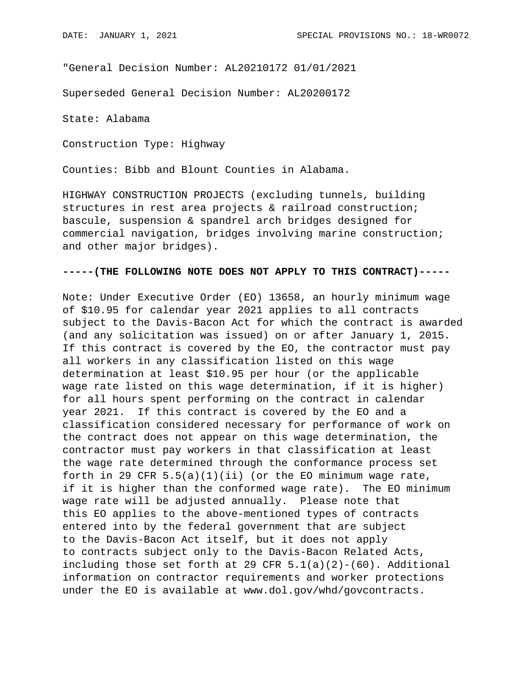"General Decision Number: AL20210172 01/01/2021

Superseded General Decision Number: AL20200172

State: Alabama

Construction Type: Highway

Counties: Bibb and Blount Counties in Alabama.

HIGHWAY CONSTRUCTION PROJECTS (excluding tunnels, building structures in rest area projects & railroad construction; bascule, suspension & spandrel arch bridges designed for commercial navigation, bridges involving marine construction; and other major bridges).

## **-----(THE FOLLOWING NOTE DOES NOT APPLY TO THIS CONTRACT)-----**

Note: Under Executive Order (EO) 13658, an hourly minimum wage of \$10.95 for calendar year 2021 applies to all contracts subject to the Davis-Bacon Act for which the contract is awarded (and any solicitation was issued) on or after January 1, 2015. If this contract is covered by the EO, the contractor must pay all workers in any classification listed on this wage determination at least \$10.95 per hour (or the applicable wage rate listed on this wage determination, if it is higher) for all hours spent performing on the contract in calendar year 2021. If this contract is covered by the EO and a classification considered necessary for performance of work on the contract does not appear on this wage determination, the contractor must pay workers in that classification at least the wage rate determined through the conformance process set forth in 29 CFR  $5.5(a)(1)(ii)$  (or the EO minimum wage rate, if it is higher than the conformed wage rate). The EO minimum wage rate will be adjusted annually. Please note that this EO applies to the above-mentioned types of contracts entered into by the federal government that are subject to the Davis-Bacon Act itself, but it does not apply to contracts subject only to the Davis-Bacon Related Acts, including those set forth at 29 CFR  $5.1(a)(2)-(60)$ . Additional information on contractor requirements and worker protections under the EO is available at www.dol.gov/whd/govcontracts.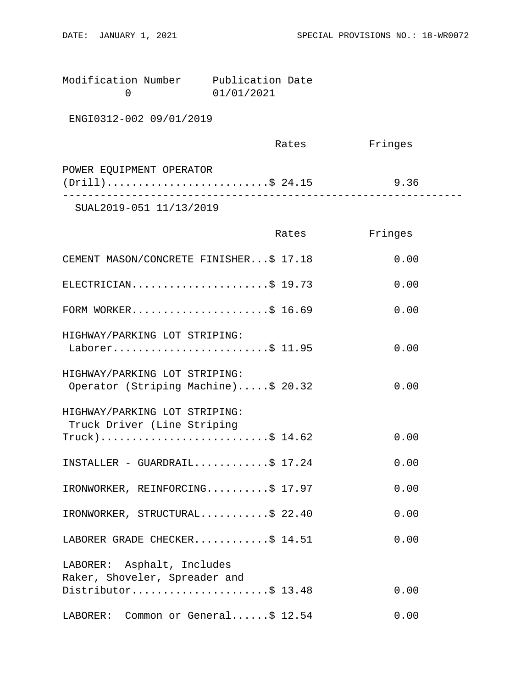| Modification Number | Publication Date |  |
|---------------------|------------------|--|
|                     | 01/01/2021       |  |

ENGI0312-002 09/01/2019

|                          | Rates | Fringes |  |
|--------------------------|-------|---------|--|
| POWER EQUIPMENT OPERATOR |       |         |  |
| $(Drill)$ \$ 24.15       |       | 9.36    |  |
|                          |       |         |  |

SUAL2019-051 11/13/2019

|                                                                      | Rates | Fringes |
|----------------------------------------------------------------------|-------|---------|
| CEMENT MASON/CONCRETE FINISHER\$ 17.18                               |       | 0.00    |
| ELECTRICIAN\$ 19.73                                                  |       | 0.00    |
| FORM WORKER\$ 16.69                                                  |       | 0.00    |
| HIGHWAY/PARKING LOT STRIPING:<br>Laborer\$ 11.95                     |       | 0.00    |
| HIGHWAY/PARKING LOT STRIPING:<br>Operator (Striping Machine)\$ 20.32 |       | 0.00    |
| HIGHWAY/PARKING LOT STRIPING:<br>Truck Driver (Line Striping         |       |         |
| $True k$ )\$ 14.62                                                   |       | 0.00    |
| $INSTALLER - GUARDRALLL$ \$ 17.24                                    |       | 0.00    |
| IRONWORKER, REINFORCING\$ 17.97                                      |       | 0.00    |
| IRONWORKER, STRUCTURAL\$ 22.40                                       |       | 0.00    |
| LABORER GRADE CHECKER\$ 14.51                                        |       | 0.00    |
| LABORER: Asphalt, Includes                                           |       |         |
| Raker, Shoveler, Spreader and<br>Distributor\$ 13.48                 |       | 0.00    |
| LABORER: Common or General\$ 12.54                                   |       | 0.00    |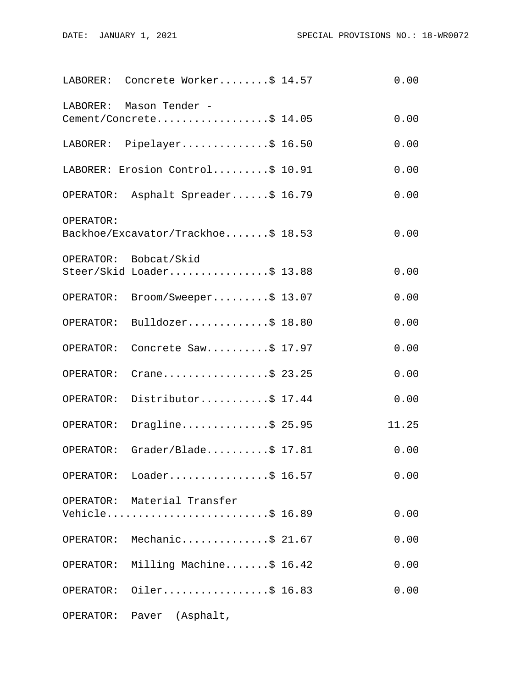|           | LABORER: Concrete Worker\$ 14.57                   | 0.00  |
|-----------|----------------------------------------------------|-------|
| LABORER:  | Mason Tender -<br>Cement/Concrete\$ 14.05          | 0.00  |
|           | LABORER: Pipelayer\$ 16.50                         | 0.00  |
|           | LABORER: Erosion Control\$ 10.91                   | 0.00  |
|           | OPERATOR: Asphalt Spreader\$ 16.79                 | 0.00  |
| OPERATOR: |                                                    |       |
|           | Backhoe/Excavator/Trackhoe\$ 18.53                 | 0.00  |
|           | OPERATOR: Bobcat/Skid<br>Steer/Skid Loader\$ 13.88 | 0.00  |
| OPERATOR: | Broom/Sweeper\$ 13.07                              | 0.00  |
| OPERATOR: | Bulldozer\$ 18.80                                  | 0.00  |
| OPERATOR: | Concrete Saw\$ 17.97                               | 0.00  |
| OPERATOR: | Crane\$ 23.25                                      | 0.00  |
| OPERATOR: | Distributor\$ 17.44                                | 0.00  |
| OPERATOR: | Dragline\$ 25.95                                   | 11.25 |
| OPERATOR: | Grader/Blade\$ $17.81$                             | 0.00  |
|           | OPERATOR: Loader\$ 16.57                           | 0.00  |
|           | OPERATOR: Material Transfer<br>Vehicle\$ 16.89     | 0.00  |
|           | OPERATOR: Mechanic\$ 21.67                         | 0.00  |
|           | OPERATOR: Milling Machine\$ 16.42                  | 0.00  |
| OPERATOR: | Oiler\$ 16.83                                      | 0.00  |
|           | OPERATOR: Paver (Asphalt,                          |       |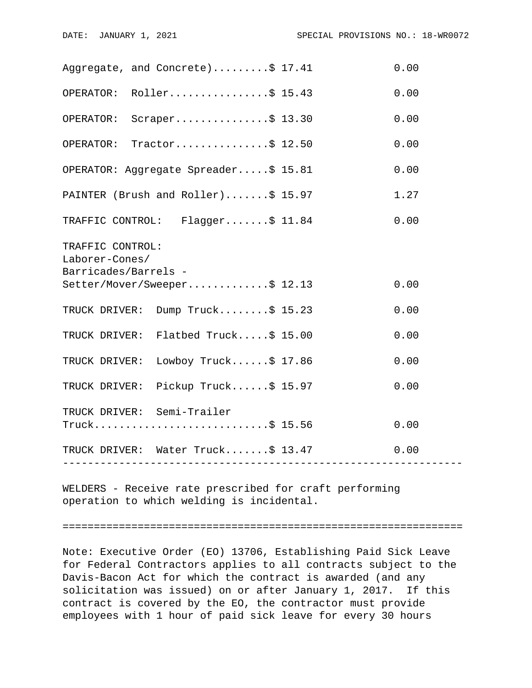| Aggregate, and Concrete)\$ 17.41                                          | 0.00 |  |  |
|---------------------------------------------------------------------------|------|--|--|
| OPERATOR: Roller\$ 15.43                                                  | 0.00 |  |  |
| OPERATOR: Scraper\$ 13.30                                                 | 0.00 |  |  |
| OPERATOR: Tractor\$ 12.50                                                 | 0.00 |  |  |
| OPERATOR: Aggregate Spreader\$ 15.81                                      | 0.00 |  |  |
| PAINTER (Brush and Roller)\$ 15.97                                        | 1.27 |  |  |
| TRAFFIC CONTROL: Flagger\$ 11.84                                          | 0.00 |  |  |
| TRAFFIC CONTROL:<br>Laborer-Cones/<br>Barricades/Barrels -                |      |  |  |
| Setter/Mover/Sweeper\$ 12.13                                              | 0.00 |  |  |
| TRUCK DRIVER: Dump Truck\$ 15.23                                          | 0.00 |  |  |
| TRUCK DRIVER: Flatbed Truck\$ 15.00                                       | 0.00 |  |  |
| TRUCK DRIVER: Lowboy Truck\$ 17.86                                        | 0.00 |  |  |
| TRUCK DRIVER: Pickup Truck\$ 15.97                                        | 0.00 |  |  |
| TRUCK DRIVER: Semi-Trailer<br>Truck\$ 15.56                               | 0.00 |  |  |
| TRUCK DRIVER: Water Truck\$ 13.47<br>------------------------------------ | 0.00 |  |  |
|                                                                           |      |  |  |

WELDERS - Receive rate prescribed for craft performing operation to which welding is incidental.

================================================================

Note: Executive Order (EO) 13706, Establishing Paid Sick Leave for Federal Contractors applies to all contracts subject to the Davis-Bacon Act for which the contract is awarded (and any solicitation was issued) on or after January 1, 2017. If this contract is covered by the EO, the contractor must provide employees with 1 hour of paid sick leave for every 30 hours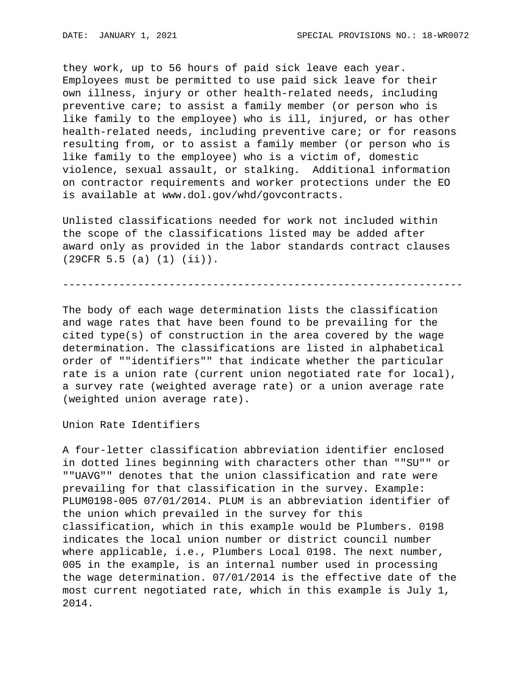they work, up to 56 hours of paid sick leave each year. Employees must be permitted to use paid sick leave for their own illness, injury or other health-related needs, including preventive care; to assist a family member (or person who is like family to the employee) who is ill, injured, or has other health-related needs, including preventive care; or for reasons resulting from, or to assist a family member (or person who is like family to the employee) who is a victim of, domestic violence, sexual assault, or stalking. Additional information on contractor requirements and worker protections under the EO is available at www.dol.gov/whd/govcontracts.

Unlisted classifications needed for work not included within the scope of the classifications listed may be added after award only as provided in the labor standards contract clauses (29CFR 5.5 (a) (1) (ii)).

----------------------------------------------------------------

The body of each wage determination lists the classification and wage rates that have been found to be prevailing for the cited type(s) of construction in the area covered by the wage determination. The classifications are listed in alphabetical order of ""identifiers"" that indicate whether the particular rate is a union rate (current union negotiated rate for local), a survey rate (weighted average rate) or a union average rate (weighted union average rate).

Union Rate Identifiers

A four-letter classification abbreviation identifier enclosed in dotted lines beginning with characters other than ""SU"" or ""UAVG"" denotes that the union classification and rate were prevailing for that classification in the survey. Example: PLUM0198-005 07/01/2014. PLUM is an abbreviation identifier of the union which prevailed in the survey for this classification, which in this example would be Plumbers. 0198 indicates the local union number or district council number where applicable, i.e., Plumbers Local 0198. The next number, 005 in the example, is an internal number used in processing the wage determination. 07/01/2014 is the effective date of the most current negotiated rate, which in this example is July 1, 2014.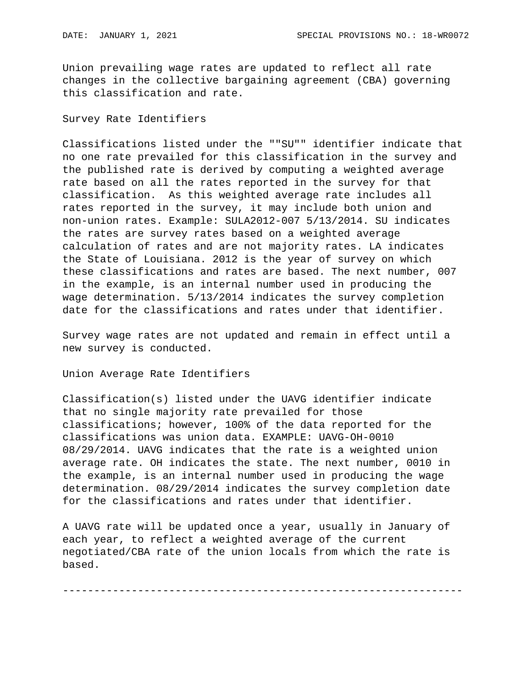Union prevailing wage rates are updated to reflect all rate changes in the collective bargaining agreement (CBA) governing this classification and rate.

## Survey Rate Identifiers

Classifications listed under the ""SU"" identifier indicate that no one rate prevailed for this classification in the survey and the published rate is derived by computing a weighted average rate based on all the rates reported in the survey for that classification. As this weighted average rate includes all rates reported in the survey, it may include both union and non-union rates. Example: SULA2012-007 5/13/2014. SU indicates the rates are survey rates based on a weighted average calculation of rates and are not majority rates. LA indicates the State of Louisiana. 2012 is the year of survey on which these classifications and rates are based. The next number, 007 in the example, is an internal number used in producing the wage determination. 5/13/2014 indicates the survey completion date for the classifications and rates under that identifier.

Survey wage rates are not updated and remain in effect until a new survey is conducted.

Union Average Rate Identifiers

Classification(s) listed under the UAVG identifier indicate that no single majority rate prevailed for those classifications; however, 100% of the data reported for the classifications was union data. EXAMPLE: UAVG-OH-0010 08/29/2014. UAVG indicates that the rate is a weighted union average rate. OH indicates the state. The next number, 0010 in the example, is an internal number used in producing the wage determination. 08/29/2014 indicates the survey completion date for the classifications and rates under that identifier.

A UAVG rate will be updated once a year, usually in January of each year, to reflect a weighted average of the current negotiated/CBA rate of the union locals from which the rate is based.

----------------------------------------------------------------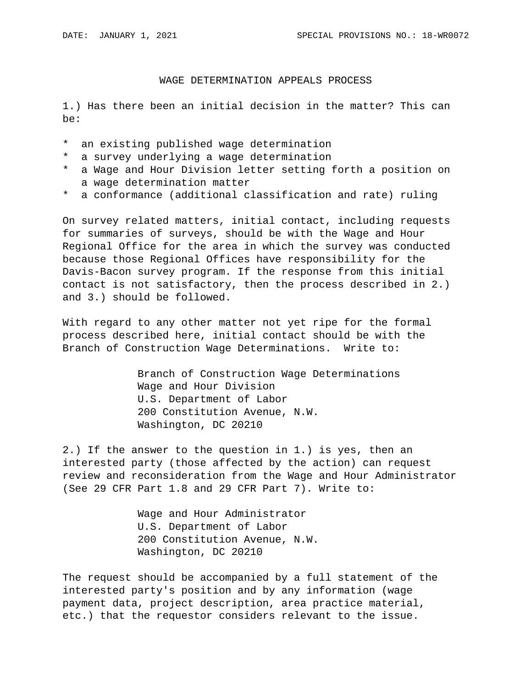## WAGE DETERMINATION APPEALS PROCESS

1.) Has there been an initial decision in the matter? This can be:

- \* an existing published wage determination
- \* a survey underlying a wage determination
- \* a Wage and Hour Division letter setting forth a position on a wage determination matter
- \* a conformance (additional classification and rate) ruling

On survey related matters, initial contact, including requests for summaries of surveys, should be with the Wage and Hour Regional Office for the area in which the survey was conducted because those Regional Offices have responsibility for the Davis-Bacon survey program. If the response from this initial contact is not satisfactory, then the process described in 2.) and 3.) should be followed.

With regard to any other matter not yet ripe for the formal process described here, initial contact should be with the Branch of Construction Wage Determinations. Write to:

> Branch of Construction Wage Determinations Wage and Hour Division U.S. Department of Labor 200 Constitution Avenue, N.W. Washington, DC 20210

2.) If the answer to the question in 1.) is yes, then an interested party (those affected by the action) can request review and reconsideration from the Wage and Hour Administrator (See 29 CFR Part 1.8 and 29 CFR Part 7). Write to:

> Wage and Hour Administrator U.S. Department of Labor 200 Constitution Avenue, N.W. Washington, DC 20210

The request should be accompanied by a full statement of the interested party's position and by any information (wage payment data, project description, area practice material, etc.) that the requestor considers relevant to the issue.